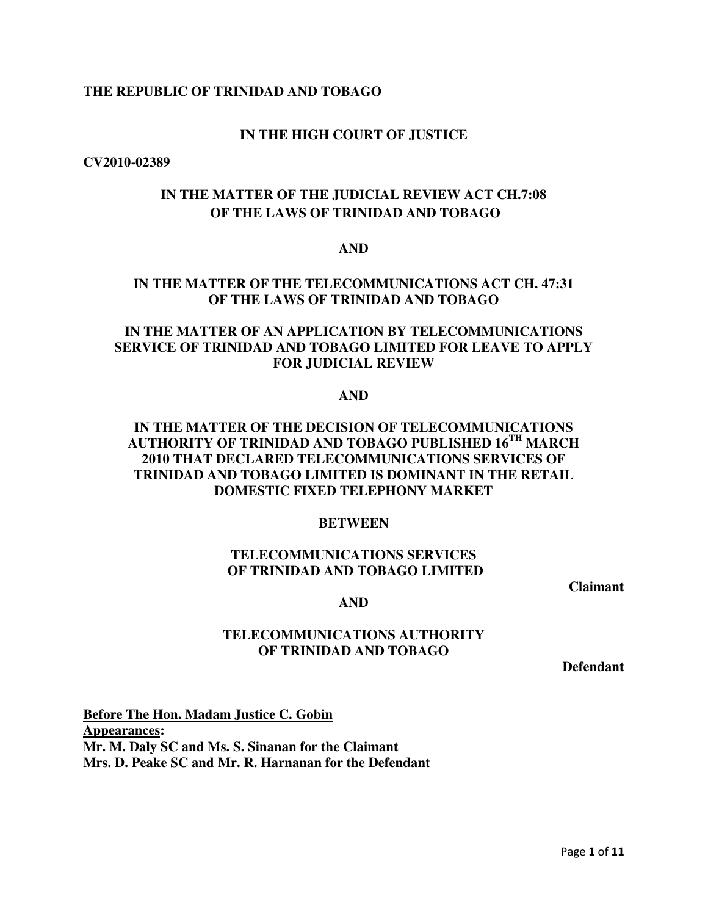## **THE REPUBLIC OF TRINIDAD AND TOBAGO**

## **IN THE HIGH COURT OF JUSTICE**

**CV2010-02389** 

# **IN THE MATTER OF THE JUDICIAL REVIEW ACT CH.7:08 OF THE LAWS OF TRINIDAD AND TOBAGO**

## **AND**

# **IN THE MATTER OF THE TELECOMMUNICATIONS ACT CH. 47:31 OF THE LAWS OF TRINIDAD AND TOBAGO**

# **IN THE MATTER OF AN APPLICATION BY TELECOMMUNICATIONS SERVICE OF TRINIDAD AND TOBAGO LIMITED FOR LEAVE TO APPLY FOR JUDICIAL REVIEW**

### **AND**

# **IN THE MATTER OF THE DECISION OF TELECOMMUNICATIONS AUTHORITY OF TRINIDAD AND TOBAGO PUBLISHED 16TH MARCH 2010 THAT DECLARED TELECOMMUNICATIONS SERVICES OF TRINIDAD AND TOBAGO LIMITED IS DOMINANT IN THE RETAIL DOMESTIC FIXED TELEPHONY MARKET**

### **BETWEEN**

# **TELECOMMUNICATIONS SERVICES OF TRINIDAD AND TOBAGO LIMITED**

**Claimant** 

### **AND**

## **TELECOMMUNICATIONS AUTHORITY OF TRINIDAD AND TOBAGO**

**Defendant** 

**Before The Hon. Madam Justice C. Gobin Appearances: Mr. M. Daly SC and Ms. S. Sinanan for the Claimant Mrs. D. Peake SC and Mr. R. Harnanan for the Defendant**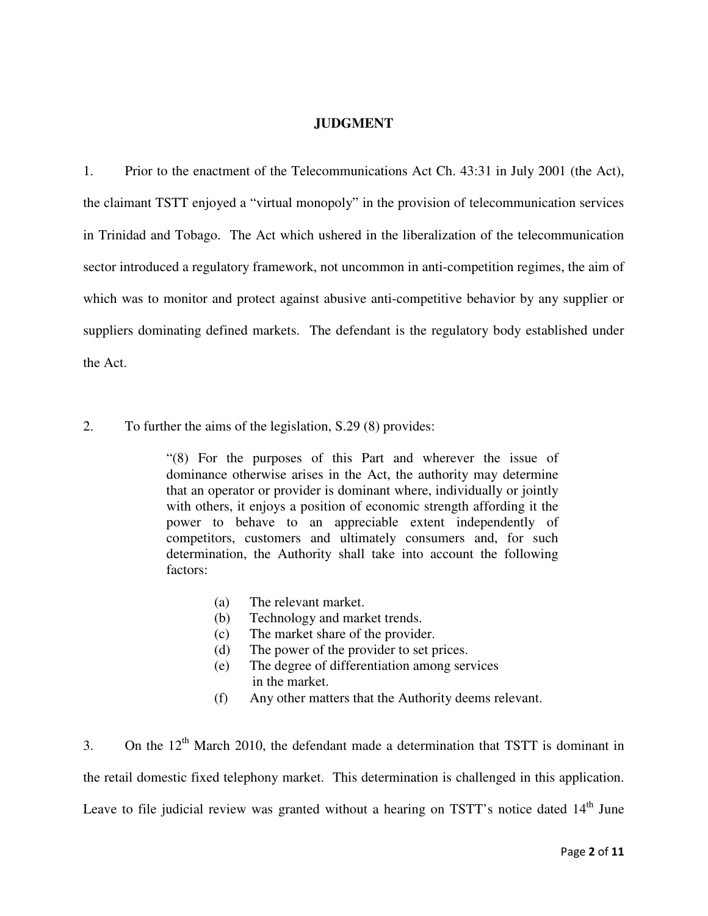## **JUDGMENT**

1. Prior to the enactment of the Telecommunications Act Ch. 43:31 in July 2001 (the Act), the claimant TSTT enjoyed a "virtual monopoly" in the provision of telecommunication services in Trinidad and Tobago. The Act which ushered in the liberalization of the telecommunication sector introduced a regulatory framework, not uncommon in anti-competition regimes, the aim of which was to monitor and protect against abusive anti-competitive behavior by any supplier or suppliers dominating defined markets. The defendant is the regulatory body established under the Act.

2. To further the aims of the legislation, S.29 (8) provides:

"(8) For the purposes of this Part and wherever the issue of dominance otherwise arises in the Act, the authority may determine that an operator or provider is dominant where, individually or jointly with others, it enjoys a position of economic strength affording it the power to behave to an appreciable extent independently of competitors, customers and ultimately consumers and, for such determination, the Authority shall take into account the following factors:

- (a) The relevant market.
- (b) Technology and market trends.
- (c) The market share of the provider.
- (d) The power of the provider to set prices.
- (e) The degree of differentiation among services in the market.
- (f) Any other matters that the Authority deems relevant.

3. On the  $12<sup>th</sup>$  March 2010, the defendant made a determination that TSTT is dominant in the retail domestic fixed telephony market. This determination is challenged in this application. Leave to file judicial review was granted without a hearing on TSTT's notice dated  $14<sup>th</sup>$  June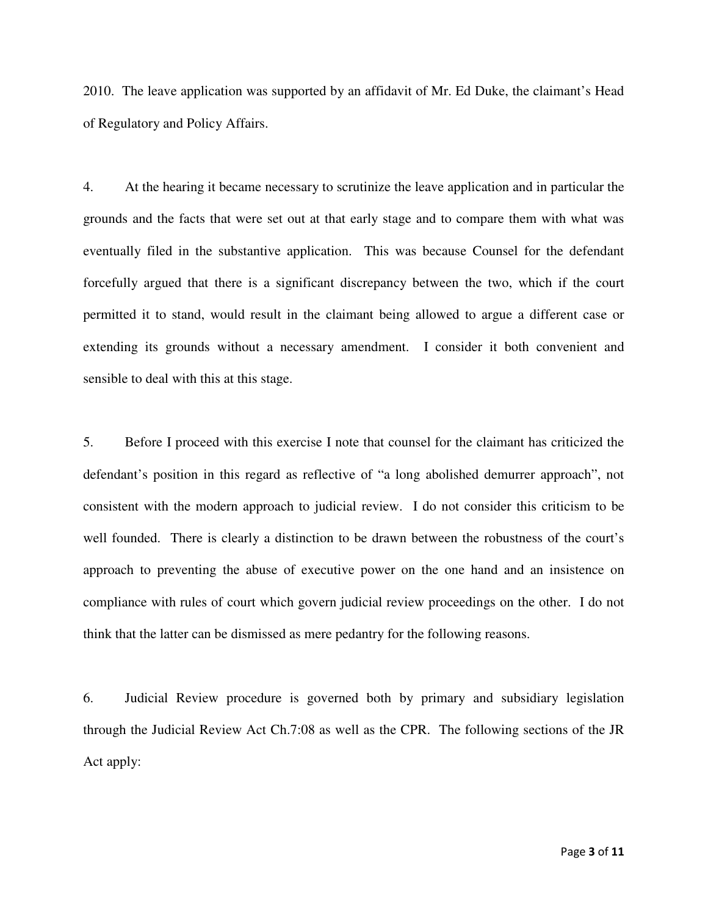2010. The leave application was supported by an affidavit of Mr. Ed Duke, the claimant's Head of Regulatory and Policy Affairs.

4. At the hearing it became necessary to scrutinize the leave application and in particular the grounds and the facts that were set out at that early stage and to compare them with what was eventually filed in the substantive application. This was because Counsel for the defendant forcefully argued that there is a significant discrepancy between the two, which if the court permitted it to stand, would result in the claimant being allowed to argue a different case or extending its grounds without a necessary amendment. I consider it both convenient and sensible to deal with this at this stage.

5. Before I proceed with this exercise I note that counsel for the claimant has criticized the defendant's position in this regard as reflective of "a long abolished demurrer approach", not consistent with the modern approach to judicial review. I do not consider this criticism to be well founded. There is clearly a distinction to be drawn between the robustness of the court's approach to preventing the abuse of executive power on the one hand and an insistence on compliance with rules of court which govern judicial review proceedings on the other. I do not think that the latter can be dismissed as mere pedantry for the following reasons.

6. Judicial Review procedure is governed both by primary and subsidiary legislation through the Judicial Review Act Ch.7:08 as well as the CPR. The following sections of the JR Act apply: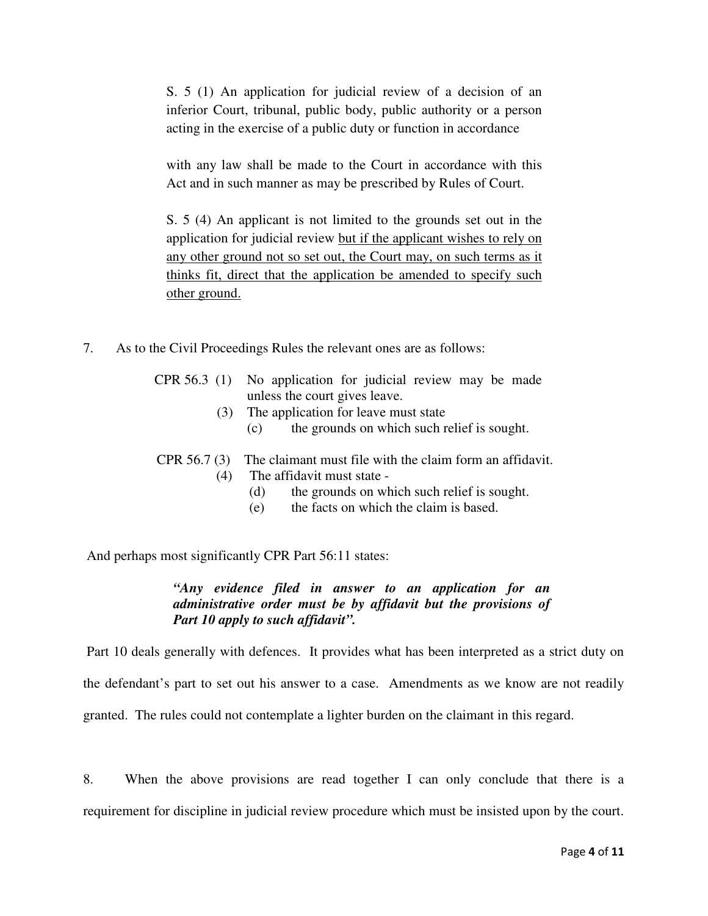S. 5 (1) An application for judicial review of a decision of an inferior Court, tribunal, public body, public authority or a person acting in the exercise of a public duty or function in accordance

with any law shall be made to the Court in accordance with this Act and in such manner as may be prescribed by Rules of Court.

S. 5 (4) An applicant is not limited to the grounds set out in the application for judicial review but if the applicant wishes to rely on any other ground not so set out, the Court may, on such terms as it thinks fit, direct that the application be amended to specify such other ground.

7. As to the Civil Proceedings Rules the relevant ones are as follows:

|                               | CPR $56.3$ (1) No application for judicial review may be made |  |  |  |  |  |
|-------------------------------|---------------------------------------------------------------|--|--|--|--|--|
| unless the court gives leave. |                                                               |  |  |  |  |  |

- (3) The application for leave must state
	- (c) the grounds on which such relief is sought.

CPR 56.7 (3) The claimant must file with the claim form an affidavit.

## (4) The affidavit must state -

- (d) the grounds on which such relief is sought.
- (e) the facts on which the claim is based.

And perhaps most significantly CPR Part 56:11 states:

*"Any evidence filed in answer to an application for an administrative order must be by affidavit but the provisions of Part 10 apply to such affidavit".* 

 Part 10 deals generally with defences. It provides what has been interpreted as a strict duty on the defendant's part to set out his answer to a case. Amendments as we know are not readily granted. The rules could not contemplate a lighter burden on the claimant in this regard.

8. When the above provisions are read together I can only conclude that there is a requirement for discipline in judicial review procedure which must be insisted upon by the court.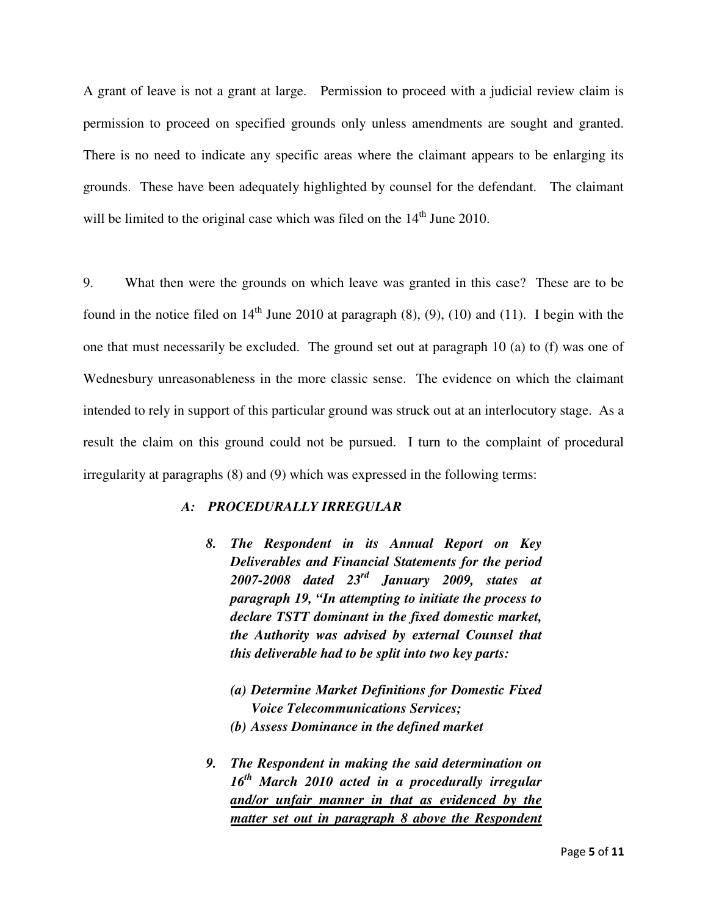A grant of leave is not a grant at large. Permission to proceed with a judicial review claim is permission to proceed on specified grounds only unless amendments are sought and granted. There is no need to indicate any specific areas where the claimant appears to be enlarging its grounds. These have been adequately highlighted by counsel for the defendant. The claimant will be limited to the original case which was filed on the  $14<sup>th</sup>$  June 2010.

9. What then were the grounds on which leave was granted in this case? These are to be found in the notice filed on  $14<sup>th</sup>$  June 2010 at paragraph (8), (9), (10) and (11). I begin with the one that must necessarily be excluded. The ground set out at paragraph 10 (a) to (f) was one of Wednesbury unreasonableness in the more classic sense. The evidence on which the claimant intended to rely in support of this particular ground was struck out at an interlocutory stage. As a result the claim on this ground could not be pursued. I turn to the complaint of procedural irregularity at paragraphs (8) and (9) which was expressed in the following terms:

### *A: PROCEDURALLY IRREGULAR*

- *8. The Respondent in its Annual Report on Key Deliverables and Financial Statements for the period 2007-2008 dated 23rd January 2009, states at paragraph 19, "In attempting to initiate the process to declare TSTT dominant in the fixed domestic market, the Authority was advised by external Counsel that this deliverable had to be split into two key parts:* 
	- *(a) Determine Market Definitions for Domestic Fixed Voice Telecommunications Services; (b) Assess Dominance in the defined market*
- *9. The Respondent in making the said determination on 16th March 2010 acted in a procedurally irregular and/or unfair manner in that as evidenced by the matter set out in paragraph 8 above the Respondent*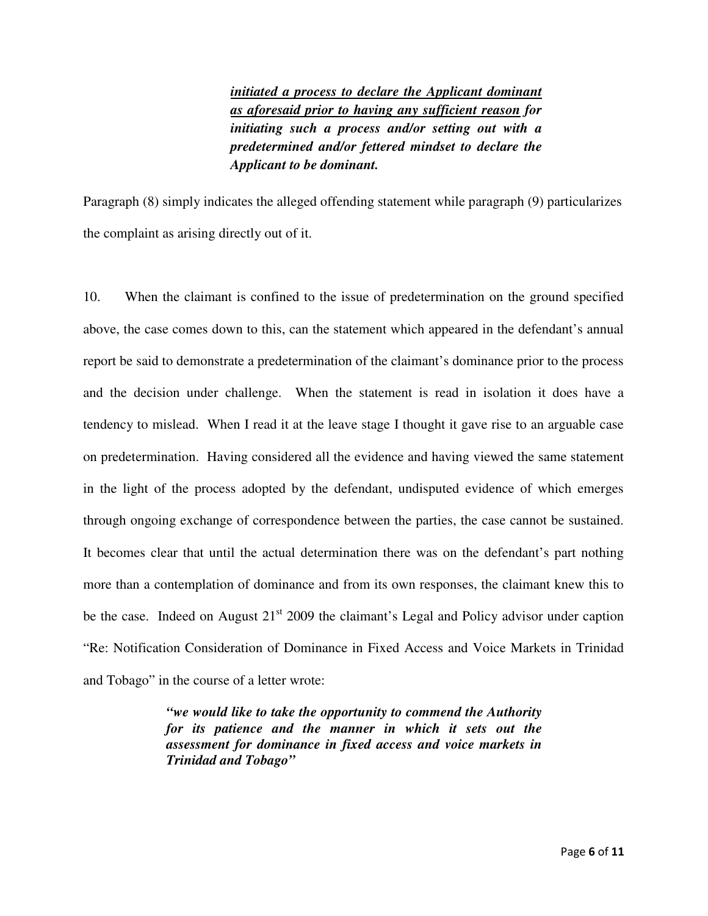*initiated a process to declare the Applicant dominant as aforesaid prior to having any sufficient reason for initiating such a process and/or setting out with a predetermined and/or fettered mindset to declare the Applicant to be dominant.* 

Paragraph (8) simply indicates the alleged offending statement while paragraph (9) particularizes the complaint as arising directly out of it.

10. When the claimant is confined to the issue of predetermination on the ground specified above, the case comes down to this, can the statement which appeared in the defendant's annual report be said to demonstrate a predetermination of the claimant's dominance prior to the process and the decision under challenge. When the statement is read in isolation it does have a tendency to mislead. When I read it at the leave stage I thought it gave rise to an arguable case on predetermination. Having considered all the evidence and having viewed the same statement in the light of the process adopted by the defendant, undisputed evidence of which emerges through ongoing exchange of correspondence between the parties, the case cannot be sustained. It becomes clear that until the actual determination there was on the defendant's part nothing more than a contemplation of dominance and from its own responses, the claimant knew this to be the case. Indeed on August  $21<sup>st</sup>$  2009 the claimant's Legal and Policy advisor under caption "Re: Notification Consideration of Dominance in Fixed Access and Voice Markets in Trinidad and Tobago" in the course of a letter wrote:

> *"we would like to take the opportunity to commend the Authority for its patience and the manner in which it sets out the assessment for dominance in fixed access and voice markets in Trinidad and Tobago"*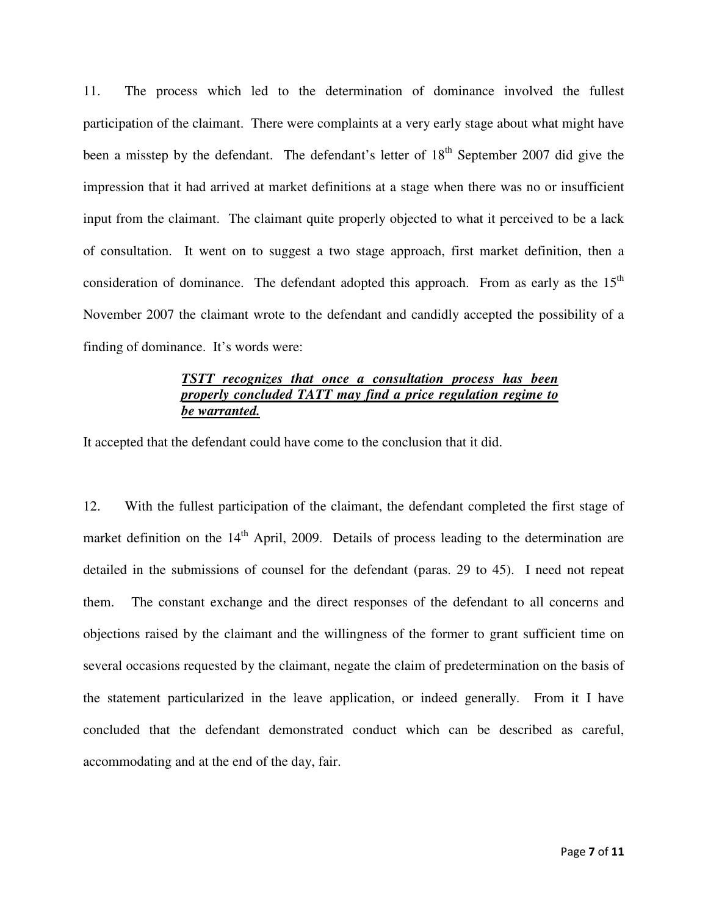11. The process which led to the determination of dominance involved the fullest participation of the claimant. There were complaints at a very early stage about what might have been a misstep by the defendant. The defendant's letter of  $18<sup>th</sup>$  September 2007 did give the impression that it had arrived at market definitions at a stage when there was no or insufficient input from the claimant. The claimant quite properly objected to what it perceived to be a lack of consultation. It went on to suggest a two stage approach, first market definition, then a consideration of dominance. The defendant adopted this approach. From as early as the  $15<sup>th</sup>$ November 2007 the claimant wrote to the defendant and candidly accepted the possibility of a finding of dominance. It's words were:

# *TSTT recognizes that once a consultation process has been properly concluded TATT may find a price regulation regime to be warranted.*

It accepted that the defendant could have come to the conclusion that it did.

12. With the fullest participation of the claimant, the defendant completed the first stage of market definition on the  $14<sup>th</sup>$  April, 2009. Details of process leading to the determination are detailed in the submissions of counsel for the defendant (paras. 29 to 45). I need not repeat them. The constant exchange and the direct responses of the defendant to all concerns and objections raised by the claimant and the willingness of the former to grant sufficient time on several occasions requested by the claimant, negate the claim of predetermination on the basis of the statement particularized in the leave application, or indeed generally. From it I have concluded that the defendant demonstrated conduct which can be described as careful, accommodating and at the end of the day, fair.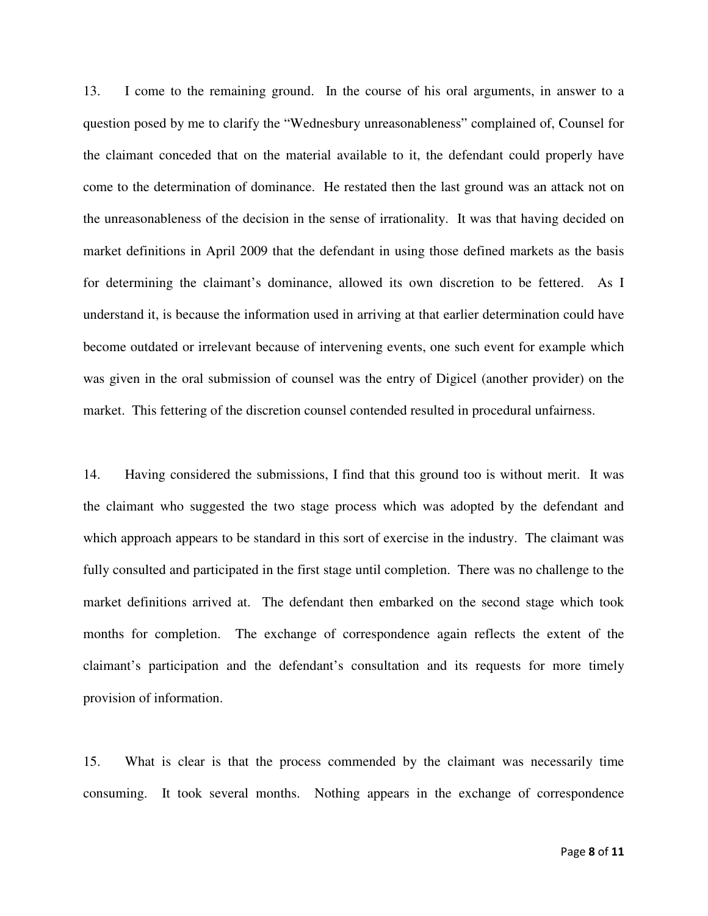13. I come to the remaining ground. In the course of his oral arguments, in answer to a question posed by me to clarify the "Wednesbury unreasonableness" complained of, Counsel for the claimant conceded that on the material available to it, the defendant could properly have come to the determination of dominance. He restated then the last ground was an attack not on the unreasonableness of the decision in the sense of irrationality. It was that having decided on market definitions in April 2009 that the defendant in using those defined markets as the basis for determining the claimant's dominance, allowed its own discretion to be fettered. As I understand it, is because the information used in arriving at that earlier determination could have become outdated or irrelevant because of intervening events, one such event for example which was given in the oral submission of counsel was the entry of Digicel (another provider) on the market. This fettering of the discretion counsel contended resulted in procedural unfairness.

14. Having considered the submissions, I find that this ground too is without merit. It was the claimant who suggested the two stage process which was adopted by the defendant and which approach appears to be standard in this sort of exercise in the industry. The claimant was fully consulted and participated in the first stage until completion. There was no challenge to the market definitions arrived at. The defendant then embarked on the second stage which took months for completion. The exchange of correspondence again reflects the extent of the claimant's participation and the defendant's consultation and its requests for more timely provision of information.

15. What is clear is that the process commended by the claimant was necessarily time consuming. It took several months. Nothing appears in the exchange of correspondence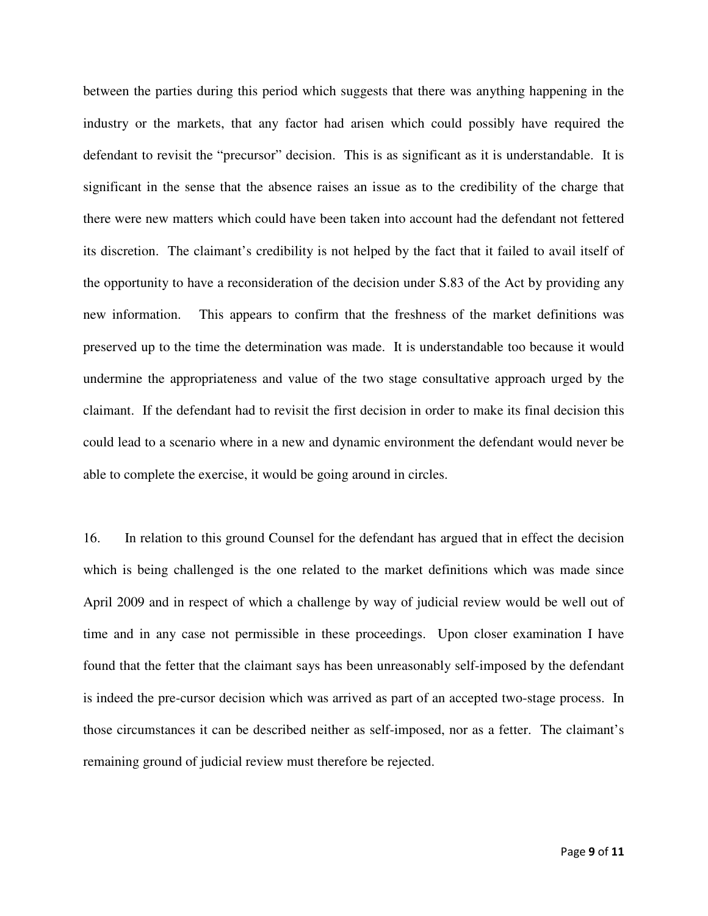between the parties during this period which suggests that there was anything happening in the industry or the markets, that any factor had arisen which could possibly have required the defendant to revisit the "precursor" decision. This is as significant as it is understandable. It is significant in the sense that the absence raises an issue as to the credibility of the charge that there were new matters which could have been taken into account had the defendant not fettered its discretion. The claimant's credibility is not helped by the fact that it failed to avail itself of the opportunity to have a reconsideration of the decision under S.83 of the Act by providing any new information. This appears to confirm that the freshness of the market definitions was preserved up to the time the determination was made. It is understandable too because it would undermine the appropriateness and value of the two stage consultative approach urged by the claimant. If the defendant had to revisit the first decision in order to make its final decision this could lead to a scenario where in a new and dynamic environment the defendant would never be able to complete the exercise, it would be going around in circles.

16. In relation to this ground Counsel for the defendant has argued that in effect the decision which is being challenged is the one related to the market definitions which was made since April 2009 and in respect of which a challenge by way of judicial review would be well out of time and in any case not permissible in these proceedings. Upon closer examination I have found that the fetter that the claimant says has been unreasonably self-imposed by the defendant is indeed the pre-cursor decision which was arrived as part of an accepted two-stage process. In those circumstances it can be described neither as self-imposed, nor as a fetter. The claimant's remaining ground of judicial review must therefore be rejected.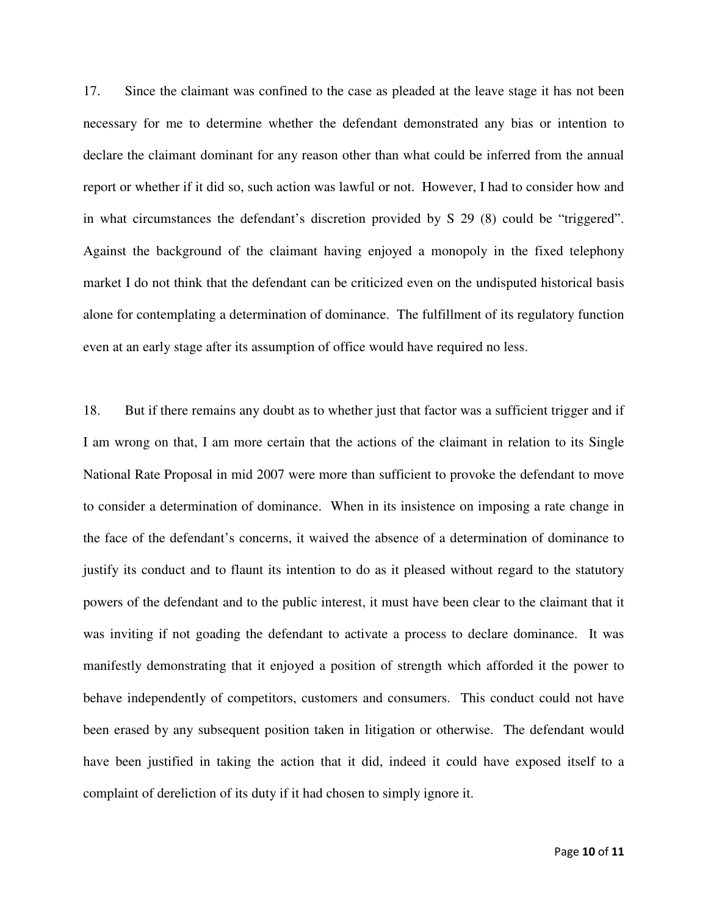17. Since the claimant was confined to the case as pleaded at the leave stage it has not been necessary for me to determine whether the defendant demonstrated any bias or intention to declare the claimant dominant for any reason other than what could be inferred from the annual report or whether if it did so, such action was lawful or not. However, I had to consider how and in what circumstances the defendant's discretion provided by S 29 (8) could be "triggered". Against the background of the claimant having enjoyed a monopoly in the fixed telephony market I do not think that the defendant can be criticized even on the undisputed historical basis alone for contemplating a determination of dominance. The fulfillment of its regulatory function even at an early stage after its assumption of office would have required no less.

18. But if there remains any doubt as to whether just that factor was a sufficient trigger and if I am wrong on that, I am more certain that the actions of the claimant in relation to its Single National Rate Proposal in mid 2007 were more than sufficient to provoke the defendant to move to consider a determination of dominance. When in its insistence on imposing a rate change in the face of the defendant's concerns, it waived the absence of a determination of dominance to justify its conduct and to flaunt its intention to do as it pleased without regard to the statutory powers of the defendant and to the public interest, it must have been clear to the claimant that it was inviting if not goading the defendant to activate a process to declare dominance. It was manifestly demonstrating that it enjoyed a position of strength which afforded it the power to behave independently of competitors, customers and consumers. This conduct could not have been erased by any subsequent position taken in litigation or otherwise. The defendant would have been justified in taking the action that it did, indeed it could have exposed itself to a complaint of dereliction of its duty if it had chosen to simply ignore it.